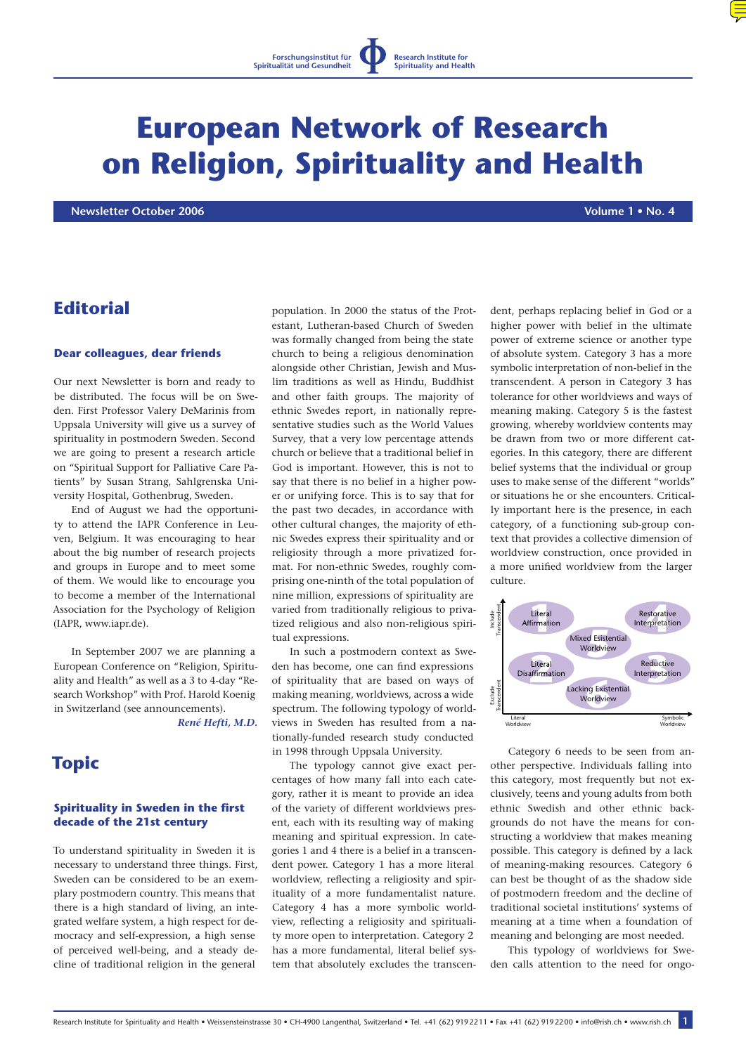# **European Network of Research on Religion, Spirituality and Health**

 **Newsletter October 2006 Volume 1 • No. 4**

# **Editorial**

#### **Dear colleagues, dear friends**

Our next Newsletter is born and ready to be distributed. The focus will be on Sweden. First Professor Valery DeMarinis from Uppsala University will give us a survey of spirituality in postmodern Sweden. Second we are going to present a research article on "Spiritual Support for Palliative Care Patients" by Susan Strang, Sahlgrenska University Hospital, Gothenbrug, Sweden.

End of August we had the opportunity to attend the IAPR Conference in Leuven, Belgium. It was encouraging to hear about the big number of research projects and groups in Europe and to meet some of them. We would like to encourage you to become a member of the International Association for the Psychology of Religion [\(IAPR, www.iapr.de\)](http://www.iapr.de).

In September 2007 we are planning a European Conference on "Religion, Spirituality and Health" as well as a 3 to 4-day "Research Workshop" with Prof. Harold Koenig in Switzerland (see announcements).

*[René Hefti, M.D.](mailto:info@rish.ch)*

# **Topic**

#### **Spirituality in Sweden in the first decade of the 21st century**

To understand spirituality in Sweden it is necessary to understand three things. First, Sweden can be considered to be an exemplary postmodern country. This means that there is a high standard of living, an integrated welfare system, a high respect for democracy and self-expression, a high sense of perceived well-being, and a steady decline of traditional religion in the general

population. In 2000 the status of the Protestant, Lutheran-based Church of Sweden was formally changed from being the state church to being a religious denomination alongside other Christian, Jewish and Muslim traditions as well as Hindu, Buddhist and other faith groups. The majority of ethnic Swedes report, in nationally representative studies such as the World Values Survey, that a very low percentage attends church or believe that a traditional belief in God is important. However, this is not to say that there is no belief in a higher power or unifying force. This is to say that for the past two decades, in accordance with other cultural changes, the majority of ethnic Swedes express their spirituality and or religiosity through a more privatized format. For non-ethnic Swedes, roughly comprising one-ninth of the total population of nine million, expressions of spirituality are varied from traditionally religious to privatized religious and also non-religious spiritual expressions.

In such a postmodern context as Sweden has become, one can find expressions of spirituality that are based on ways of making meaning, worldviews, across a wide spectrum. The following typology of worldviews in Sweden has resulted from a nationally-funded research study conducted in 1998 through Uppsala University.

The typology cannot give exact percentages of how many fall into each category, rather it is meant to provide an idea of the variety of different worldviews present, each with its resulting way of making meaning and spiritual expression. In categories 1 and 4 there is a belief in a transcendent power. Category 1 has a more literal worldview, reflecting a religiosity and spirituality of a more fundamentalist nature. Category 4 has a more symbolic worldview, reflecting a religiosity and spirituality more open to interpretation. Category 2 has a more fundamental, literal belief system that absolutely excludes the transcendent, perhaps replacing belief in God or a higher power with belief in the ultimate power of extreme science or another type of absolute system. Category 3 has a more symbolic interpretation of non-belief in the transcendent. A person in Category 3 has tolerance for other worldviews and ways of meaning making. Category 5 is the fastest growing, whereby worldview contents may be drawn from two or more different categories. In this category, there are different belief systems that the individual or group uses to make sense of the different "worlds" or situations he or she encounters. Critically important here is the presence, in each category, of a functioning sub-group context that provides a collective dimension of worldview construction, once provided in a more unified worldview from the larger culture.



Category 6 needs to be seen from another perspective. Individuals falling into this category, most frequently but not exclusively, teens and young adults from both ethnic Swedish and other ethnic backgrounds do not have the means for constructing a worldview that makes meaning possible. This category is defined by a lack of meaning-making resources. Category 6 can best be thought of as the shadow side of postmodern freedom and the decline of traditional societal institutions' systems of meaning at a time when a foundation of meaning and belonging are most needed.

This typology of worldviews for Sweden calls attention to the need for ongo-